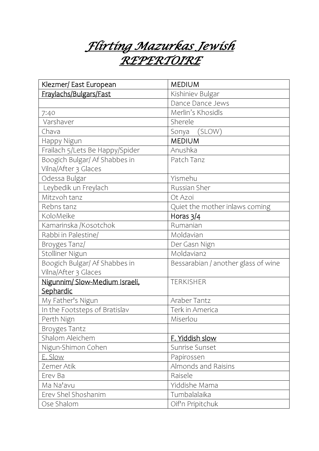*Flirting Mazurkas Jewish REPERTOIRE*

| Klezmer/ East European          | <b>MEDIUM</b>                       |
|---------------------------------|-------------------------------------|
| Fraylachs/Bulgars/Fast          | Kishiniev Bulgar                    |
|                                 | Dance Dance Jews                    |
| 7:40                            | Merlin's Khosidls                   |
| Varshaver                       | Sherele                             |
| Chava                           | Sonya (SLOW)                        |
| Happy Nigun                     | <b>MEDIUM</b>                       |
| Frailach 5/Lets Be Happy/Spider | Anushka                             |
| Boogich Bulgar/ Af Shabbes in   | Patch Tanz                          |
| Vilna/After 3 Glaces            |                                     |
| Odessa Bulgar                   | Yismehu                             |
| Leybedik un Freylach            | Russian Sher                        |
| Mitzvoh tanz                    | Ot Azoi                             |
| Rebns tanz                      | Quiet the mother inlaws coming      |
| KoloMeike                       | Horas $3/4$                         |
| Kamarinska /Kosotchok           | Rumanian                            |
| Rabbi in Palestine/             | Moldavian                           |
| Broyges Tanz/                   | Der Gasn Nign                       |
| Stolliner Nigun                 | Moldavian2                          |
| Boogich Bulgar/ Af Shabbes in   | Bessarabian / another glass of wine |
| Vilna/After 3 Glaces            |                                     |
| Nigunnim/ Slow-Medium Israeli,  | <b>TERKISHER</b>                    |
| Sephardic                       |                                     |
| My Father's Nigun               | Araber Tantz                        |
| In the Footsteps of Bratislav   | Terk in America                     |
| Perth Nign                      | Miserlou                            |
| <b>Broyges Tantz</b>            |                                     |
| Shalom Aleichem                 | F. Yiddish slow                     |
| Nigun-Shimon Cohen              | Sunrise Sunset                      |
| E. Slow                         | Papirossen                          |
| Zemer Atik                      | Almonds and Raisins                 |
| Erev Ba                         | Raisele                             |
| Ma Na'avu                       | Yiddishe Mama                       |
| Erev Shel Shoshanim             | Tumbalalaika                        |
| Ose Shalom                      | Oif'n Pripitchuk                    |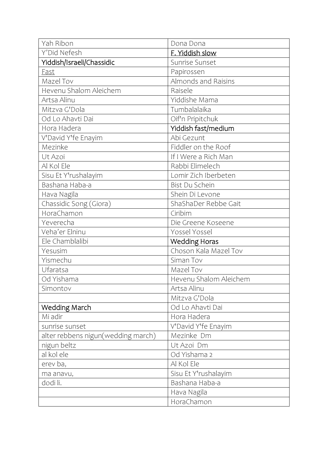| Yah Ribon                          | Dona Dona              |
|------------------------------------|------------------------|
| Y'Did Nefesh                       | F. Yiddish slow        |
| Yiddish/Israeli/Chassidic          | Sunrise Sunset         |
| <b>Fast</b>                        | Papirossen             |
| Mazel Tov                          | Almonds and Raisins    |
| Hevenu Shalom Aleichem             | Raisele                |
| Artsa Alinu                        | Yiddishe Mama          |
| Mitzva G'Dola                      | Tumbalalaika           |
| Od Lo Ahavti Dai                   | Oif'n Pripitchuk       |
| Hora Hadera                        | Yiddish fast/medium    |
| V'David Y'fe Enayim                | Abi Gezunt             |
| Mezinke                            | Fiddler on the Roof    |
| Ut Azoi                            | If I Were a Rich Man   |
| Al Kol Ele                         | Rabbi Elimelech        |
| Sisu Et Y'rushalayim               | Lomir Zich Iberbeten   |
| Bashana Haba-a                     | Bist Du Schein         |
| Hava Nagila                        | Shein Di Levone        |
| Chassidic Song (Giora)             | ShaShaDer Rebbe Gait   |
| HoraChamon                         | Ciribim                |
| Yeverecha                          | Die Greene Koseene     |
| Veha'er Elninu                     | Yossel Yossel          |
| Ele Chamblalibi                    | <b>Wedding Horas</b>   |
| Yesusim                            | Choson Kala Mazel Tov  |
| Yismechu                           | Siman Tov              |
| Ufaratsa                           | Mazel Tov              |
| Od Yishama                         | Hevenu Shalom Aleichem |
| Simontov                           | Artsa Alinu            |
|                                    | Mitzva G'Dola          |
| Wedding March                      | Od Lo Ahavti Dai       |
| Mi adir                            | Hora Hadera            |
| sunrise sunset                     | V'David Y'fe Enayim    |
| alter rebbens nigun(wedding march) | Mezinke Dm             |
| nigun beltz                        | Ut Azoi Dm             |
| al kol ele                         | Od Yishama 2           |
| erev ba,                           | Al Kol Ele             |
| ma anavu,                          | Sisu Et Y'rushalayim   |
| dodi li.                           | Bashana Haba-a         |
|                                    | Hava Nagila            |
|                                    | HoraChamon             |